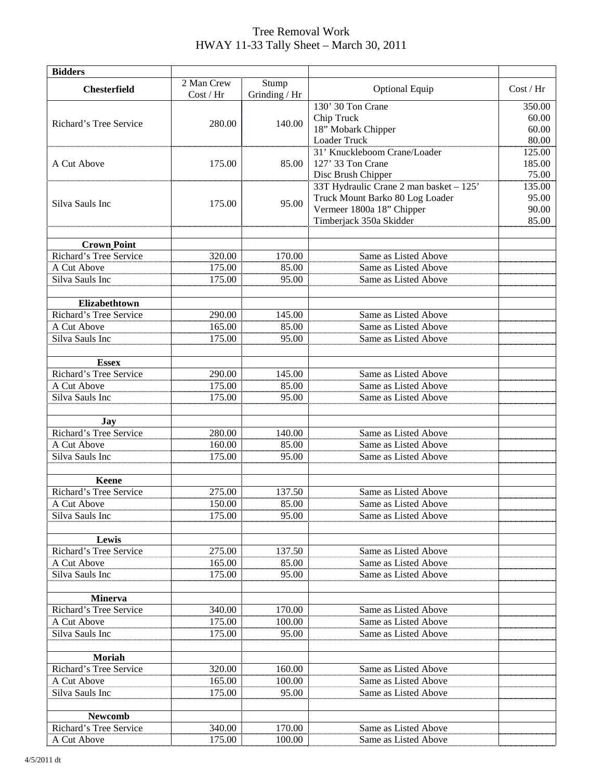## Tree Removal Work HWAY 11-33 Tally Sheet – March 30, 2011

| <b>Bidders</b>                          |                         |                        |                                                               |                 |
|-----------------------------------------|-------------------------|------------------------|---------------------------------------------------------------|-----------------|
| <b>Chesterfield</b>                     | 2 Man Crew<br>Cost / Hr | Stump<br>Grinding / Hr | <b>Optional Equip</b>                                         | Cost / Hr       |
|                                         |                         |                        | 130' 30 Ton Crane                                             | 350.00          |
| Richard's Tree Service                  |                         |                        | Chip Truck                                                    | 60.00           |
|                                         | 280.00                  | 140.00                 | 18" Mobark Chipper                                            | 60.00           |
|                                         |                         |                        | Loader Truck                                                  | 80.00           |
|                                         |                         |                        | 31' Knuckleboom Crane/Loader                                  | 125.00          |
| A Cut Above                             | 175.00                  | 85.00                  | 127' 33 Ton Crane                                             | 185.00<br>75.00 |
|                                         |                         |                        | Disc Brush Chipper<br>33T Hydraulic Crane 2 man basket - 125' | 135.00          |
|                                         |                         |                        | Truck Mount Barko 80 Log Loader                               | 95.00           |
| Silva Sauls Inc                         | 175.00                  | 95.00                  | Vermeer 1800a 18" Chipper                                     | 90.00           |
|                                         |                         |                        | Timberjack 350a Skidder                                       | 85.00           |
|                                         |                         |                        |                                                               |                 |
| <b>Crown Point</b>                      |                         |                        |                                                               |                 |
| Richard's Tree Service                  | 320.00                  | 170.00                 | Same as Listed Above                                          |                 |
| A Cut Above                             | 175.00                  | 85.00                  | Same as Listed Above                                          |                 |
| Silva Sauls Inc                         | 175.00                  | 95.00                  | Same as Listed Above                                          |                 |
|                                         |                         |                        |                                                               |                 |
| Elizabethtown<br>Richard's Tree Service |                         | 145.00                 | Same as Listed Above                                          |                 |
| A Cut Above                             | 290.00<br>165.00        | 85.00                  | Same as Listed Above                                          |                 |
| Silva Sauls Inc                         | 175.00                  | 95.00                  | Same as Listed Above                                          |                 |
|                                         |                         |                        |                                                               |                 |
| <b>Essex</b>                            |                         |                        |                                                               |                 |
| Richard's Tree Service                  | 290.00                  | 145.00                 | Same as Listed Above                                          |                 |
| A Cut Above                             | 175.00                  | 85.00                  | Same as Listed Above                                          |                 |
| Silva Sauls Inc                         | 175.00                  | 95.00                  | Same as Listed Above                                          |                 |
|                                         |                         |                        |                                                               |                 |
| Jay                                     |                         |                        |                                                               |                 |
| Richard's Tree Service                  | 280.00                  | 140.00                 | Same as Listed Above                                          |                 |
| A Cut Above                             | 160.00                  | 85.00                  | Same as Listed Above                                          |                 |
| Silva Sauls Inc                         | 175.00                  | 95.00                  | Same as Listed Above                                          |                 |
| Keene                                   |                         |                        |                                                               |                 |
| Richard's Tree Service                  | 275.00                  | 137.50                 | Same as Listed Above                                          |                 |
| A Cut Above                             | 150.00                  | 85.00                  | Same as Listed Above                                          |                 |
| Silva Sauls Inc                         | 175.00                  | 95.00                  | Same as Listed Above                                          |                 |
|                                         |                         |                        |                                                               |                 |
| Lewis                                   |                         |                        |                                                               |                 |
| Richard's Tree Service                  | 275.00                  | 137.50                 | Same as Listed Above                                          |                 |
| A Cut Above<br>Silva Sauls Inc          | 165.00<br>175.00        | 85.00<br>95.00         | Same as Listed Above<br>Same as Listed Above                  |                 |
|                                         |                         |                        |                                                               |                 |
| <b>Minerva</b>                          |                         |                        |                                                               |                 |
| Richard's Tree Service                  | 340.00                  | 170.00                 | Same as Listed Above                                          |                 |
| A Cut Above                             | 175.00                  | 100.00                 | Same as Listed Above                                          |                 |
| Silva Sauls Inc                         | 175.00                  | 95.00                  | Same as Listed Above                                          |                 |
|                                         |                         |                        |                                                               |                 |
| Moriah                                  |                         |                        |                                                               |                 |
| Richard's Tree Service                  | 320.00                  | 160.00                 | Same as Listed Above                                          |                 |
| A Cut Above                             | 165.00                  | 100.00                 | Same as Listed Above                                          |                 |
| Silva Sauls Inc                         | 175.00                  | 95.00                  | Same as Listed Above                                          |                 |
|                                         |                         |                        |                                                               |                 |
| <b>Newcomb</b>                          |                         |                        |                                                               |                 |
| Richard's Tree Service                  | 340.00                  | 170.00                 | Same as Listed Above                                          |                 |
| A Cut Above                             | 175.00                  | 100.00                 | Same as Listed Above                                          |                 |